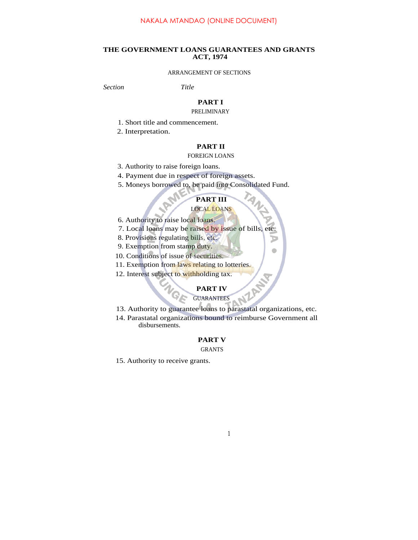## **THE GOVERNMENT LOANS GUARANTEES AND GRANTS ACT, 1974**

### ARRANGEMENT OF SECTIONS

*Section Title*

## **PART I**

#### PRELIMINARY

- 1. Short title and commencement.
- 2. Interpretation.

## **PART II**

#### FOREIGN LOANS

- 3. Authority to raise foreign loans.
- 4. Payment due in respect of foreign assets.
- 5. Moneys borrowed to, be paid into Consolidated Fund.

# **PART III**

D  $\bullet$ 

#### LOCAL LOANS

6. Authority to raise local loans.

E  $\hat{\nabla}$ 

- 7. Local loans may be raised by issue of bills, etc.
- 8. Provisions regulating bills, etc.
- 9. Exemption from stamp duty.
- 10. Conditions of issue of securities.
- 11. Exemption from laws relating to lotteries.
- 12. Interest subject to withholding tax.

## **PART IV**

# GUARANTEES

- **PART IV<br>13. Authority to guarantee loans to parastatal organizations, etc.**
- 14. Parastatal organizations bound to reimburse Government all disbursements.

## **PART V**

#### GRANTS

15. Authority to receive grants.

## 1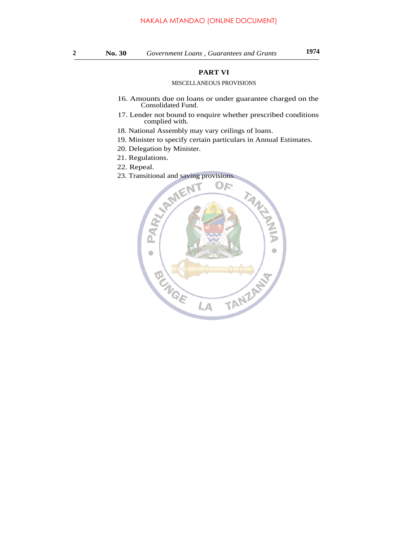## **PART VI**

## MISCELLANEOUS PROVISIONS

- 16. Amounts due on loans or under guarantee charged on the Consolidated Fund.
- 17. Lender not bound to enquire whether prescribed conditions complied with.
- 18. National Assembly may vary ceilings of loans.
- 19. Minister to specify certain particulars in Annual Estimates.
- 20. Delegation by Minister.
- 21. Regulations.
- 22. Repeal.
- 23. Transitional and saving provisions.

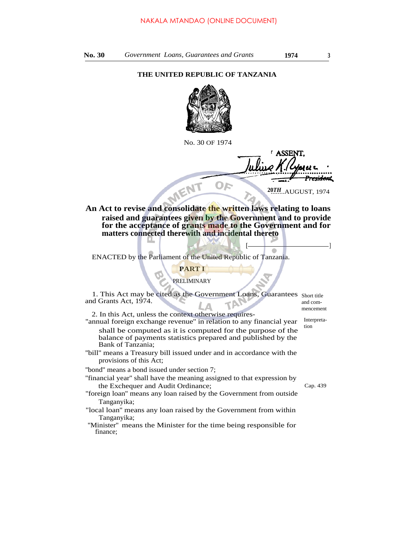## **THE UNITED REPUBLIC OF TANZANIA**



No. 30 OF 1974

**ASSEN** <del>esidon</del>t OF

**20TH...AUGUST, 1974** 

 $[$   $\begin{array}{|c|c|c|c|c|}\hline \textbf{---} & \textbf{---} & \textbf{---} & \textbf{---} \ \hline \end{array}$ 

**An Act to revise and consolidate the written laws relating to loans raised and guarantees given by the Government and to provide for the acceptance of grants made to the Government and for matters connected therewith and incidental thereto**

ENACTED by the Parliament of the United Republic of Tanzania.

# **PART I**

## PRELIMINARY

1. This Act may be cited as the Government Loans, Guarantees Short title and Grants Act, 1974. and com-

2. In this Act, unless the context otherwise requires-

''annual foreign exchange revenue'' in relation to any financial year shall be computed as it is computed for the purpose of the balance of payments statistics prepared and published by the Bank of Tanzania;

''bill'' means a Treasury bill issued under and in accordance with the provisions of this Act;

''bond'' means a bond issued under section 7;

''financial year'' shall have the meaning assigned to that expression by the Exchequer and Audit Ordinance; Cap. 439

- ''foreign loan'' means any loan raised by the Government from outside Tanganyika;
- "local loan'' means any loan raised by the Government from within Tanganyika;

''Minister'' means the Minister for the time being responsible for finance;

Interpretation

mencement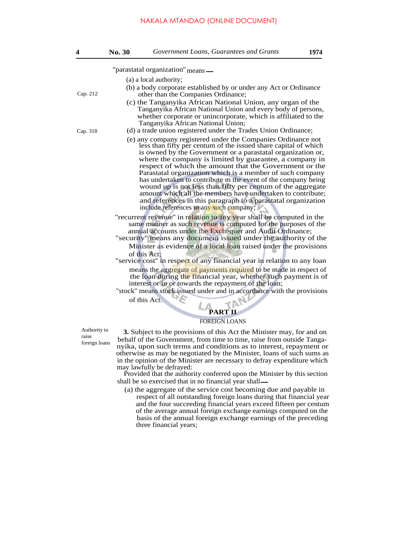#### NAKALA MTANDAO (ONLINE DOCUMENT)

| 4        | No. 30                                                                                                   | Government Loans, Guarantees and Grants                                                                                                                                                                                                                                                                                                                                                                                                                                                                                                                                                                                                                                                     | 1974 |  |
|----------|----------------------------------------------------------------------------------------------------------|---------------------------------------------------------------------------------------------------------------------------------------------------------------------------------------------------------------------------------------------------------------------------------------------------------------------------------------------------------------------------------------------------------------------------------------------------------------------------------------------------------------------------------------------------------------------------------------------------------------------------------------------------------------------------------------------|------|--|
|          |                                                                                                          | "parastatal organization" means -                                                                                                                                                                                                                                                                                                                                                                                                                                                                                                                                                                                                                                                           |      |  |
|          |                                                                                                          | (a) a local authority;                                                                                                                                                                                                                                                                                                                                                                                                                                                                                                                                                                                                                                                                      |      |  |
| Cap. 212 | (b) a body corporate established by or under any Act or Ordinance<br>other than the Companies Ordinance; |                                                                                                                                                                                                                                                                                                                                                                                                                                                                                                                                                                                                                                                                                             |      |  |
| Cap. 318 |                                                                                                          | (c) the Tanganyika African National Union, any organ of the<br>Tanganyika African National Union and every body of persons,<br>whether corporate or unincorporate, which is affiliated to the<br>Tanganyika African National Union;<br>(d) a trade union registered under the Trades Union Ordinance;                                                                                                                                                                                                                                                                                                                                                                                       |      |  |
|          |                                                                                                          | (e) any company registered under the Companies Ordinance not<br>less than fifty per centum of the issued share capital of which<br>is owned by the Government or a parastatal organization or,<br>where the company is limited by guarantee, a company in<br>respect of which the amount that the Government or the<br>Parastatal organization which is a member of such company<br>has undertaken to contribute m the event of the company being<br>wound up is not less than fifty per centum of the aggregate<br>amount which all the members have undertaken to contribute;<br>and references in this paragraph to a parastatal organization<br>include references to any such company; |      |  |
|          |                                                                                                          | "recurrent revenue" in relation to any year shall be computed in the<br>same manner as such revenue is computed for the purposes of the<br>annual accounts under the Exchequer and Audit Ordinance;<br>"security" means any document issued under the authority of the<br>Minister as evidence of a local loan raised under the provisions<br>of this Act:<br>"service cost" in respect of any financial year in relation to any loan                                                                                                                                                                                                                                                       |      |  |
|          |                                                                                                          | means the aggregate of payments required to be made in respect of<br>the loan during the financial year, whether such payment is of<br>interest or in or towards the repayment of the loan;<br>"stock" means stock issued under and in accordance with the provisions                                                                                                                                                                                                                                                                                                                                                                                                                       |      |  |

of this Act.

**PART II** FOREIGN LOANS

**3.** Subject to the provisions of this Act the Minister may, for and on behalf of the Government, from time to time, raise from outside Tanganyika, upon such terms and conditions as to interest, repayment or otherwise as may be negotiated by the Minister, loans of such sums as in the opinion of the Minister are necessary to defray expenditure which may lawfully be defrayed:

Provided that the authority conferred upon the Minister by this section shall be so exercised that in no financial year shall

(a) the aggregate of the service cost becoming due and payable in respect of all outstanding foreign loans during that financial year and the four succeeding financial years exceed fifteen per centum of the average annual foreign exchange earnings computed on the basis of the annual foreign exchange earnings of the preceding three financial years;

Authority to raise foreign loans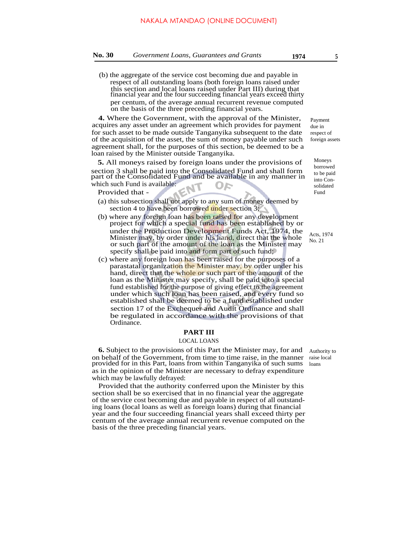(b) the aggregate of the service cost becoming due and payable in respect of all outstanding loans (both foreign loans raised under this section and local loans raised under Part III) during that financial year and the four succeeding financial years exceed thirty per centum, of the average annual recurrent revenue computed on the basis of the three preceding financial years.

**4.** Where the Government, with the approval of the Minister, acquires any asset under an agreement which provides for payment for such asset to be made outside Tanganyika subsequent to the date of the acquisition of the asset, the sum of money payable under such agreement shall, for the purposes of this section, be deemed to be a loan raised by the Minister outside Tanganyika.

**5.** All moneys raised by foreign loans under the provisions of section 3 shall be paid into the Consolidated Fund and shall form part of the Consolidated Fund and be available in any manner in which such Fund is available: OF

Provided that -

- (a) this subsection shall not apply to any sum of money deemed by section 4 to have been borrowed under section 3;
- (b) where any foreign loan has been raised for any development project for which a special fund has been established by or under the Production Development Funds Act, 1974, the Minister may, by order under his hand, direct that the whole or such part of the amount of the loan as the Minister may specify shall be paid into and form part of such fund;
- (c) where any foreign loan has been raised for the purposes of a parastatal organization the Minister may, by order under his hand, direct that the whole or such part of the amount of the loan as the Minister may specify, shall be paid into a special fund established for the purpose of giving effect to the agreement under which such loan has been raised, and every fund so established shall be deemed to be a fund established under section 17 of the Exchequer and Audit Ordinance and shall be regulated in accordance with the provisions of that Ordinance.

#### **PART III**

### LOCAL LOANS

**6.** Subject to the provisions of this Part the Minister may, for and on behalf of the Government, from time to time raise, in the manner raise local provided for in this Part, loans from within Tanganyika of such sums as in the opinion of the Minister are necessary to defray expenditure which may be lawfully defrayed:

Provided that the authority conferred upon the Minister by this section shall be so exercised that in no financial year the aggregate of the service cost becoming due and payable in respect of all outstanding loans (local loans as well as foreign loans) during that financial year and the four succeeding financial years shall exceed thirty per centum of the average annual recurrent revenue computed on the basis of the three preceding financial years.

Payment due in respect of foreign assets

Moneys borrowed to be paid into Consolidated Fund

Acts, 1974 No. 21

Authority to loans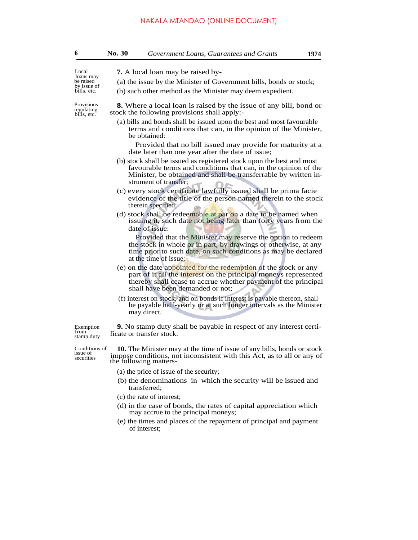# NAKALA MTANDAO (ONLINE DOCUMENT)

| 6                                                    | No. 30                                                                                                                                                                                                                              | Government Loans, Guarantees and Grants                                                                                                                                                                                                   | 1974 |  |  |
|------------------------------------------------------|-------------------------------------------------------------------------------------------------------------------------------------------------------------------------------------------------------------------------------------|-------------------------------------------------------------------------------------------------------------------------------------------------------------------------------------------------------------------------------------------|------|--|--|
| Local                                                | <b>7.</b> A local loan may be raised by-                                                                                                                                                                                            |                                                                                                                                                                                                                                           |      |  |  |
| loans may<br>be raised<br>by issue of<br>bills, etc. | (a) the issue by the Minister of Government bills, bonds or stock;                                                                                                                                                                  |                                                                                                                                                                                                                                           |      |  |  |
|                                                      |                                                                                                                                                                                                                                     | (b) such other method as the Minister may deem expedient.                                                                                                                                                                                 |      |  |  |
| Provisions<br>regulating<br>bills, etc.              | <b>8.</b> Where a local loan is raised by the issue of any bill, bond or<br>stock the following provisions shall apply:-                                                                                                            |                                                                                                                                                                                                                                           |      |  |  |
|                                                      | (a) bills and bonds shall be issued upon the best and most favourable<br>terms and conditions that can, in the opinion of the Minister,<br>be obtained:                                                                             |                                                                                                                                                                                                                                           |      |  |  |
|                                                      |                                                                                                                                                                                                                                     | Provided that no bill issued may provide for maturity at a<br>date later than one year after the date of issue;                                                                                                                           |      |  |  |
|                                                      | (b) stock shall be issued as registered stock upon the best and most<br>favourable terms and conditions that can, in the opinion of the<br>Minister, be obtained and shall be transferrable by written in-<br>strument of transfer; |                                                                                                                                                                                                                                           |      |  |  |
|                                                      | (c) every stock certificate lawfully issued shall be prima facie<br>evidence of the title of the person named therein to the stock<br>therein specified;                                                                            |                                                                                                                                                                                                                                           |      |  |  |
|                                                      | (d) stock shall be redeemable at par on a date to be named when<br>issuing it, such date not being later than forty years from the<br>date of issue:                                                                                |                                                                                                                                                                                                                                           |      |  |  |
|                                                      |                                                                                                                                                                                                                                     | Provided that the Minister may reserve the option to redeem<br>the stock in whole or in part, by drawings or otherwise, at any<br>time prior to such date, on such conditions as may be declared<br>at the time of issue:                 |      |  |  |
|                                                      |                                                                                                                                                                                                                                     | (e) on the date appointed for the redemption of the stock or any<br>part of it all the interest on the principal moneys represented<br>thereby shall cease to accrue whether payment of the principal<br>shall have been demanded or not; |      |  |  |
|                                                      | (f) interest on stock, and on bonds if interest is payable thereon, shall<br>be payable half-yearly or at such longer intervals as the Minister<br>may direct.                                                                      |                                                                                                                                                                                                                                           |      |  |  |
| Exemption<br>from<br>stamp duty                      |                                                                                                                                                                                                                                     | <b>9.</b> No stamp duty shall be payable in respect of any interest certi-<br>ficate or transfer stock.                                                                                                                                   |      |  |  |
| Conditions of<br>issue of<br>securities              | <b>10.</b> The Minister may at the time of issue of any bills, bonds or stock<br>impose conditions, not inconsistent with this Act, as to all or any of<br>the following matters-                                                   |                                                                                                                                                                                                                                           |      |  |  |
|                                                      |                                                                                                                                                                                                                                     | (a) the price of issue of the security;                                                                                                                                                                                                   |      |  |  |
|                                                      |                                                                                                                                                                                                                                     | (b) the denominations in which the security will be issued and<br>transferred;                                                                                                                                                            |      |  |  |
|                                                      |                                                                                                                                                                                                                                     | (c) the rate of interest;                                                                                                                                                                                                                 |      |  |  |
|                                                      | (d) in the case of bonds, the rates of capital appreciation which<br>may accrue to the principal moneys;                                                                                                                            |                                                                                                                                                                                                                                           |      |  |  |
|                                                      |                                                                                                                                                                                                                                     | (e) the times and places of the repayment of principal and payment<br>of interest:                                                                                                                                                        |      |  |  |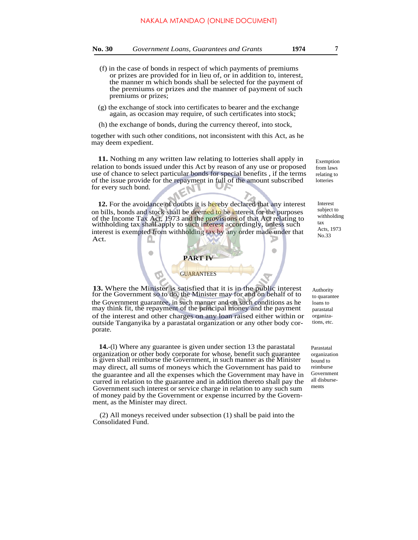- (f) in the case of bonds in respect of which payments of premiums or prizes are provided for in lieu of, or in addition to, interest, the manner m which bonds shall be selected for the payment of the premiums or prizes and the manner of payment of such premiums or prizes;
- (g) the exchange of stock into certificates to bearer and the exchange again, as occasion may require, of such certificates into stock;
- (h) the exchange of bonds, during the currency thereof, into stock,

together with such other conditions, not inconsistent with this Act, as he may deem expedient.

**11.** Nothing m any written law relating to lotteries shall apply in relation to bonds issued under this Act by reason of any use or proposed use of chance to select particular bonds for special benefits , if the terms of the issue provide for the repayment in full of the amount subscribed for every such bond.

**12.** For the avoidance of doubts it is hereby declared that any interest on bills, bonds and stock shall be deemed to be interest for the purposes of the Income Tax Act, 1973 and the provisions of that Act relating to withholding tax shall apply to such interest accordingly, unless such interest is exempted from withholding tax by any order made under that Act.

 $\bullet$ 



**13.** Where the Minister is satisfied that it is in the public interest for the Government so to do, the Minister may for and on behalf of to the Government guarantee, in such manner and on such conditions as he may think fit, the repayment of the principal money and the payment of the interest and other charges on any loan raised either within or outside Tanganyika by a parastatal organization or any other body corporate.

**14.**-(l) Where any guarantee is given under section 13 the parastatal organization or other body corporate for whose, benefit such guarantee is given shall reimburse the Government, in such manner as the Minister may direct, all sums of moneys which the Government has paid to the guarantee and all the expenses which the Government may have in curred in relation to the guarantee and in addition thereto shall pay the Government such interest or service charge in relation to any such sum of money paid by the Government or expense incurred by the Government, as the Minister may direct.

(2) All moneys received under subsection (1) shall be paid into the Consolidated Fund.

Exemption from laws relating to lotteries

Interest subject to withholding tax Acts, 1973 No.33

Authority to quarantee loans to parastatal organizations, etc.

Parastatal organization bound to reimburse Government all disbursements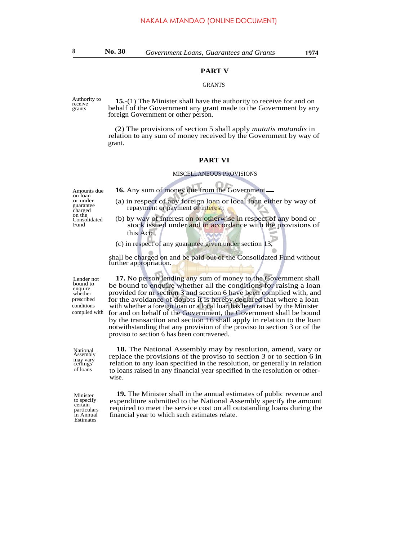## **PART V**

#### GRANTS

receive grants

Authority to **15.**-(1) The Minister shall have the authority to receive for and on behalf of the Government any grant made to the Government by any foreign Government or other person.

> (2) The provisions of section 5 shall apply *mutatis mutandis* in relation to any sum of money received by the Government by way of grant.

#### **PART VI**

#### MISCELLANEOUS PROVISIONS

Amounts due **16.** Any sum of money due from the Government on loan or under guarantee charged on the<br>Consolidated Fund

- (a) in respect of any foreign loan or local loan either by way of
- repayment or payment of interest;
- (b) by way of interest on or otherwise in respect of any bond or stock issued under and in accordance with the provisions of this Act;
- (c) in respect of any guarantee given under section 13,

shall be charged on and be paid out of the Consolidated Fund without further appropriation.

Lender not bound to enquire whether prescribed conditions complied with

**17.** No person lending any sum of money to the Government shall be bound to enquire whether all the conditions for raising a loan provided for m section 3 and section 6 have been complied with, and for the avoidance of doubts it is hereby declared that where a loan with whether a foreign loan or a local loan has been raised by the Minister for and on behalf of the Government, the Government shall be bound by the transaction and section 16 shall apply in relation to the loan notwithstanding that any provision of the proviso to section 3 or of the proviso to section 6 has been contravened.

**18.** The National Assembly may by resolution, amend, vary or replace the provisions of the proviso to section 3 or to section 6 in relation to any loan specified in the resolution, or generally in relation to loans raised in any financial year specified in the resolution or otherwise.

Minister to specify certain particulars in Annual Estimates

National Assembly may vary ceilings of loans

> **19.** The Minister shall in the annual estimates of public revenue and expenditure submitted to the National Assembly specify the amount required to meet the service cost on all outstanding loans during the financial year to which such estimates relate.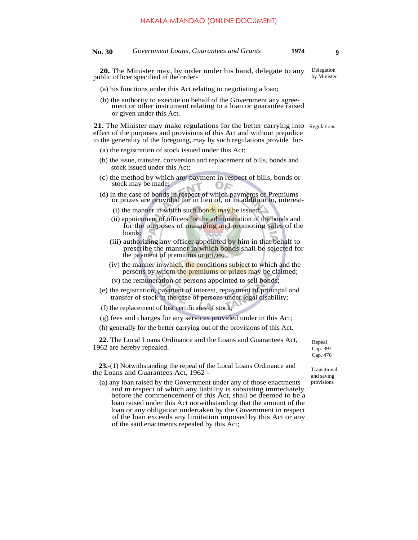**20.** The Minister may, by order under his hand, delegate to any public officer specified in the order- Delegation by Minister

- (a) his functions under this Act relating to negotiating a loan;
- (b) the authority to execute on behalf of the Government any agreement or other instrument relating to a loan or guarantee raised or given under this Act.

21. The Minister may make regulations for the better carrying into Regulations effect of the purposes and provisions of this Act and without prejudice to the generality of the foregoing, may by such regulations provide for-

- (a) the registration of stock issued under this Act;
- (b) the issue, transfer, conversion and replacement of bills, bonds and stock issued under this Act;
- (c) the method by which any payment in respect of bills, bonds or stock may be made;
- (d) in the case of bonds in respect of which payments of Premiums or prizes are provided for in lieu of, or in addition to, interest-
	- (i) the manner in which such bonds may be issued;
	- (ii) appointment of officers for the administration of the bonds and for the purposes of managing and promoting sales of the bonds;
	- (iii) authorizing any officer appointed by him in that behalf to prescribe the manner in which bonds shall be selected for the payment of premiums or prizes;
	- (iv) the manner in which, the conditions subject to which and the persons by whom the premiums or prizes may be claimed;
	- (v) the remuneration of persons appointed to sell bonds;
- (e) the registration, payment of interest, repayment of principal and transfer of stock in the case of persons under legal disability;
- (f) the replacement of lost certificates of stock;

(g) fees and charges for any services provided under in this Act;

(h) generally for the better carrying out of the provisions of this Act.

**22.** The Local Loans Ordinance and the Loans and Guarantees Act, 1962 are hereby repealed.

**23.**-(1) Notwithstanding the repeal of the Local Loans Ordinance and the Loans and Guarantees Act, 1962 -

(a) any loan raised by the Government under any of those enactments and m respect of which any liability is subsisting immediately before the commencement of this Act, shall be deemed to be a loan raised under this Act notwithstanding that the amount of the loan or any obligation undertaken by the Government in respect of the loan exceeds any limitation imposed by this Act or any of the said enactments repealed by this Act;

Repeal Cap. 397 Cap. 476

Transitional and saving provisions